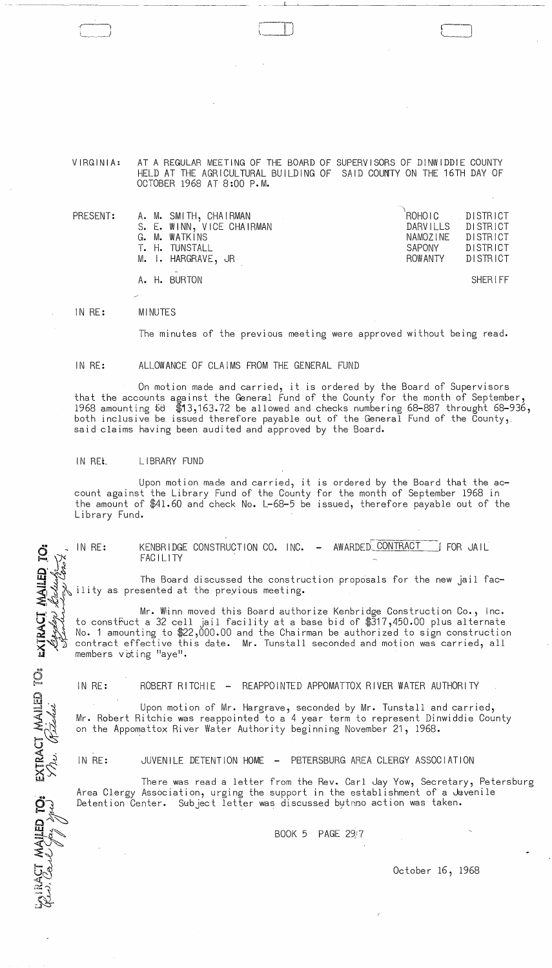$\sim$  $\sim$ 

VIRGINIA: AT A REGULAR MEETING OF THE BOARD OF SUPERVISORS OF DINWIDDIE COUNTY HELD AT THE AGRICULTURAL BUILDING OF SAID COUNTY ON THE 16TH DAY OF OCTOBER 1968 AT 8:00 P.M.

 $\Box$ 

| PRESENT: |  | A. M. SMITH, CHAIRMAN<br>S. E. WINN, VICE CHAIRMAN<br>G. M. WATKINS<br>T. H. TUNSTALL | `ROHOIC ⊺<br>DARVILLS<br>NAMOZINE<br>SAPONY | DISTRICT<br>DISTRICT<br>DISTRICT<br>DISTRICT |
|----------|--|---------------------------------------------------------------------------------------|---------------------------------------------|----------------------------------------------|
|          |  | M. I. HARGRAVE, JR                                                                    | ROWANTY                                     | DISTRICT                                     |
|          |  | $\sim$<br>A. H. BURTON                                                                |                                             | SHERIFF                                      |

IN RE: MINUTES

The minutes of the previous meeting were approved without being read.

## IN RE: ALLOWANCE OF CLAIMS FROM THE GENERAL FUND

On motion made and carried, it is ordered by the Board of Supervisors that the accounts against the General Fund of the County for the month of September, 1968 amounting SB \$13,163.72 be allowed and checks numbering 68-887 throught 68-936, both inclusive be issued therefore payable out of the General Fund of the County,. said claims having been audited and approved by the Board.

## IN REL LIBRARY FUND

IN RE:

EXTRACT MAILED TO: LATRACT MAILED TO:

Upon motion made and carried, it is ordered by the Board that the account against the Library Fund of the County for the month of September 1968 in the amount of \$41.60 and check No. L-68-5 be issued, therefore payable out of the Library Fund.

> KENBRIDGE CONSTRUCTION CO. INC. FACILITY AWARDED CONTRACT **for JAIL**

The Board discussed the construction proposals for the new jail facility as presented at the previous meeting.

Mr. Wiinn moved this Board authorize Kenbridge Construction Co., Inc. to construct a 32 cell jail facility at a base bid of  $\$ \bar{3}$ 17,450.00 plus alternate No.1 amounting to \$22,000.00 and the Chairman be authorized to sign construction contract effective this date. Mr. Tunstall seconded and motion was carried, all members voting "aye".

IN RE: ROBERT RITCHIE - REAPPOINTED APPOMATTOX RIVER WATER AUTHORITY

Upon motion of Mr. Hargrave, seconded by Mr. Tunstall and carried, Mr. Robert Ritchie was reappointed to a 4 year term to represent Dinwiddie County on the Appomattox River Water Authority beginning November 21, 1968.

IN RE: JUVENILE DETENTION HOME - PETERSBURG AREA CLERGY ASSOCIATION

There was read a letter from the Rev. Carl Jay Yow, Secretary, Petersburg Area Clergy Association, urging the support in the establishment of a  $\omega$ venile Detention Center. Subject letter was discussed bytnno action was taken.

BOOK 5 PAGE *29i 7* 

October 16, 1968